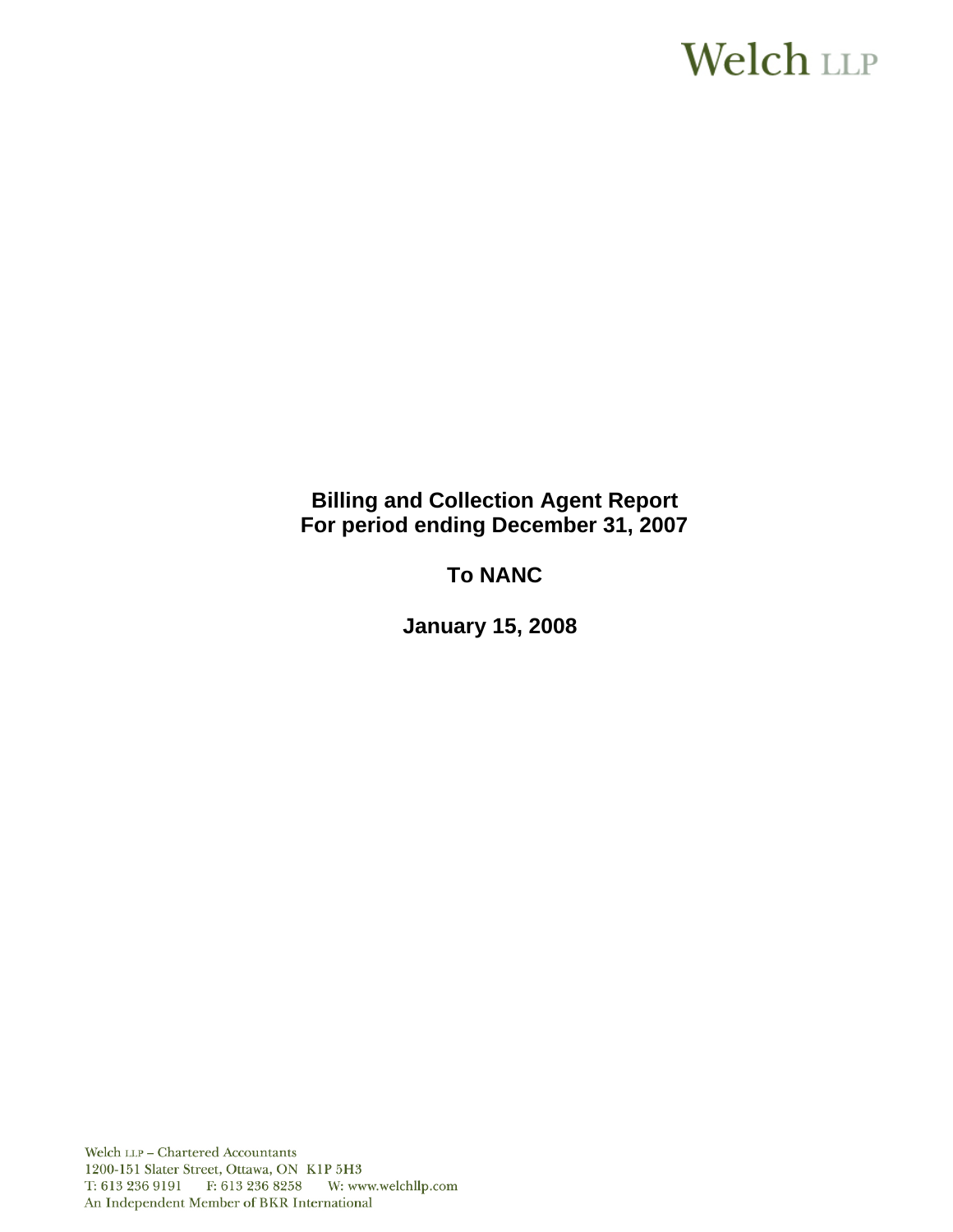# **Welch LLP**

## **Billing and Collection Agent Report For period ending December 31, 2007**

# **To NANC**

 **January 15, 2008**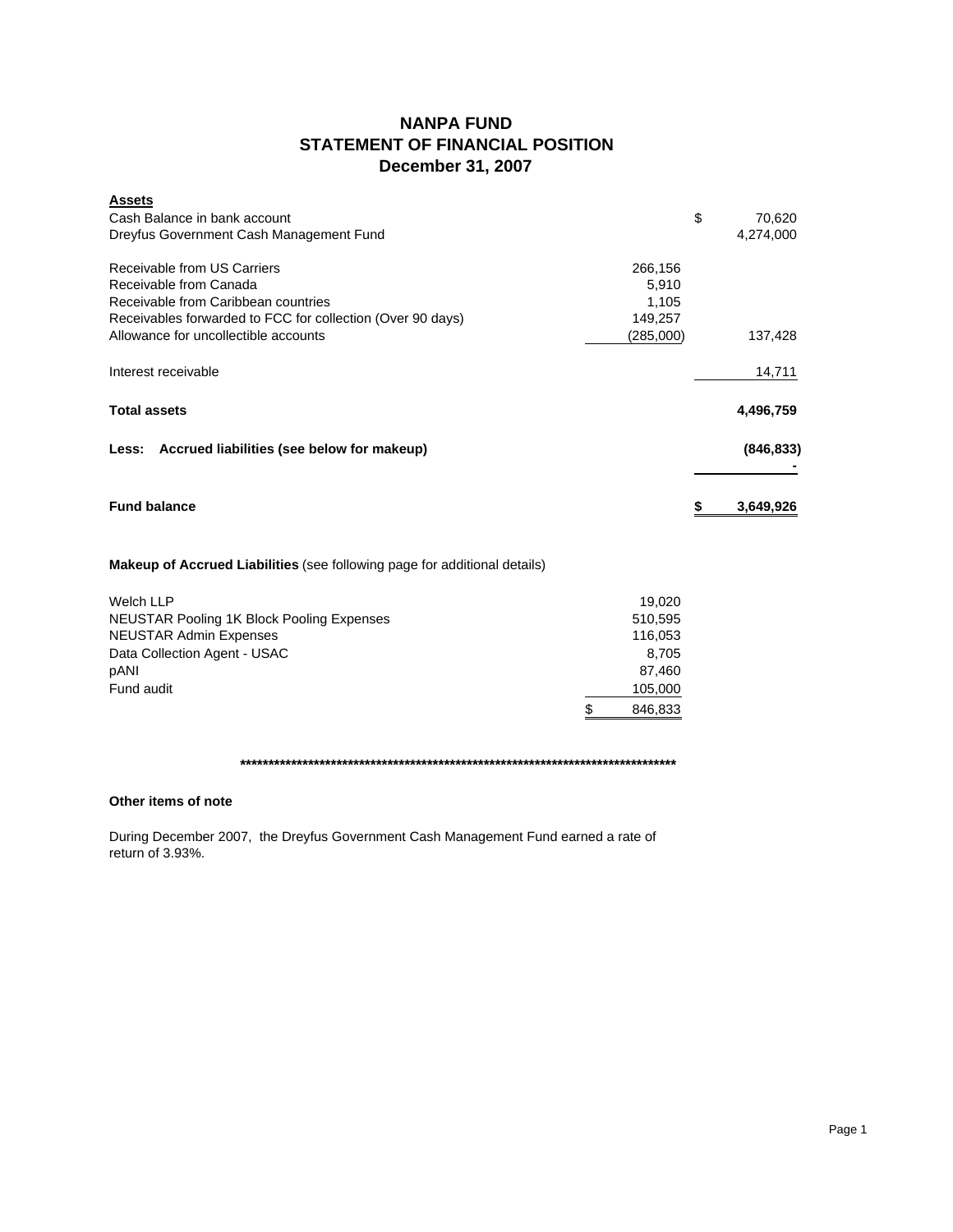## **NANPA FUND STATEMENT OF FINANCIAL POSITION December 31, 2007**

| <b>Assets</b>                                                             |           |    |            |
|---------------------------------------------------------------------------|-----------|----|------------|
| Cash Balance in bank account                                              |           | \$ | 70,620     |
| Dreyfus Government Cash Management Fund                                   |           |    | 4,274,000  |
| Receivable from US Carriers                                               | 266,156   |    |            |
| Receivable from Canada                                                    | 5,910     |    |            |
| Receivable from Caribbean countries                                       | 1,105     |    |            |
| Receivables forwarded to FCC for collection (Over 90 days)                | 149,257   |    |            |
| Allowance for uncollectible accounts                                      | (285,000) |    | 137,428    |
| Interest receivable                                                       |           |    | 14,711     |
| <b>Total assets</b>                                                       |           |    | 4,496,759  |
| Less: Accrued liabilities (see below for makeup)                          |           |    | (846, 833) |
| <b>Fund balance</b>                                                       |           | S  | 3,649,926  |
| Makeup of Accrued Liabilities (see following page for additional details) |           |    |            |
| <b>Welch LLP</b>                                                          | 19,020    |    |            |
| <b>NEUSTAR Pooling 1K Block Pooling Expenses</b>                          | 510,595   |    |            |
| <b>NEUSTAR Admin Expenses</b>                                             | 116,053   |    |            |
| Data Collection Agent - USAC                                              | 8,705     |    |            |

pANI 87,460 Fund audit 105,000 \$ 846,833

**\*\*\*\*\*\*\*\*\*\*\*\*\*\*\*\*\*\*\*\*\*\*\*\*\*\*\*\*\*\*\*\*\*\*\*\*\*\*\*\*\*\*\*\*\*\*\*\*\*\*\*\*\*\*\*\*\*\*\*\*\*\*\*\*\*\*\*\*\*\*\*\*\*\*\*\*\***

### **Other items of note**

During December 2007, the Dreyfus Government Cash Management Fund earned a rate of return of 3.93%.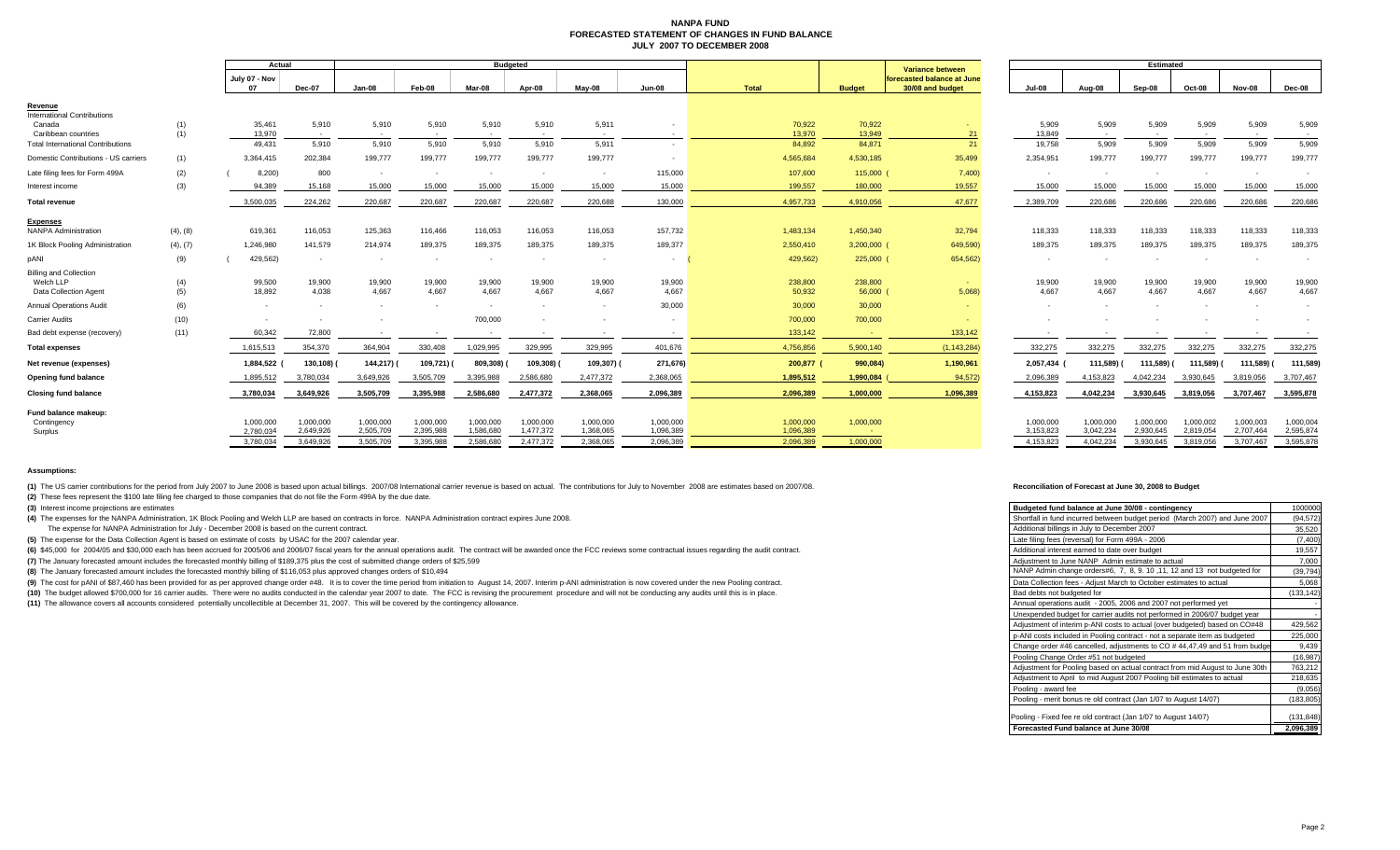#### **NANPA FUND FORECASTED STATEMENT OF CHANGES IN FUND BALANCEJULY 2007 TO DECEMBER 2008**

|                                                                     |            | Actual                 |                        | <b>Budgeted</b>        |                        |                        |                        |                          |                        | <b>Variance between</b> | <b>Estimated</b>    |                                                |                        |                          |                        |                        |                        |                        |
|---------------------------------------------------------------------|------------|------------------------|------------------------|------------------------|------------------------|------------------------|------------------------|--------------------------|------------------------|-------------------------|---------------------|------------------------------------------------|------------------------|--------------------------|------------------------|------------------------|------------------------|------------------------|
|                                                                     |            | July 07 - Nov          | Dec-07                 | Jan-08                 | Feb-08                 | Mar-08                 | Apr-08                 | May-08                   | <b>Jun-08</b>          | <b>Total</b>            | <b>Budget</b>       | forecasted balance at June<br>30/08 and budget | <b>Jul-08</b>          | Aug-08                   | Sep-08                 | Oct-08                 | Nov-08                 | Dec-08                 |
| Revenue<br><b>International Contributions</b><br>Canada             | (1)        | 35,461                 | 5,910                  | 5,910                  | 5,910                  | 5,910                  | 5,910                  | 5,911                    |                        | 70,922                  | 70,922              |                                                | 5,909                  | 5,909                    | 5,909                  | 5,909                  | 5,909                  | 5,909                  |
| Caribbean countries                                                 | (1)        | 13,970                 | $\sim$                 | $\sim$                 | <b>COL</b>             | $\sim$                 | $\sim$                 | $\sim$                   | <b>COL</b>             | 13,970                  | 13,949              | 21                                             | 13,849                 | $\sim$                   | <b>CONTRACTOR</b>      |                        | <b>CONTRACTOR</b>      | $\sim$                 |
| <b>Total International Contributions</b>                            |            | 49.431                 | 5,910                  | 5,910                  | 5.910                  | 5.910                  | 5.910                  | 5.911                    |                        | 84,892                  | 84,871              | 21                                             | 19.758                 | 5,909                    | 5.909                  | 5,909                  | 5,909                  | 5,909                  |
| Domestic Contributions - US carriers                                | (1)        | 3,364,415              | 202,384                | 199,777                | 199,777                | 199,777                | 199,777                | 199,777                  |                        | 4,565,684               | 4,530,185           | 35,499                                         | 2,354,951              | 199,777                  | 199,777                | 199,777                | 199,777                | 199,777                |
| Late filing fees for Form 499A                                      | (2)        | 8,200)                 | 800                    | $\sim$                 | $\sim$                 | $\sim$                 | $\sim$                 | $\sim$                   | 115,000                | 107,600                 | 115,000             | 7,400                                          |                        |                          |                        |                        |                        |                        |
| Interest income                                                     | (3)        | 94,389                 | 15,168                 | 15,000                 | 15,000                 | 15,000                 | 15,000                 | 15,000                   | 15,000                 | 199,557                 | 180,000             | 19,557                                         | 15,000                 | 15,000                   | 15,000                 | 15,000                 | 15,000                 | 15,000                 |
| <b>Total revenue</b>                                                |            | 3,500,035              | 224,262                | 220,687                | 220,687                | 220,687                | 220,687                | 220,688                  | 130,000                | 4,957,733               | 4,910,056           | 47,677                                         | 2,389,709              | 220,686                  | 220,686                | 220,686                | 220,686                | 220,686                |
| <b>Expenses</b><br><b>NANPA Administration</b>                      | (4), (8)   | 619,361                | 116,053                | 125,363                | 116,466                | 116,053                | 116,053                | 116,053                  | 157,732                | 1,483,134               | 1,450,340           | 32,794                                         | 118,333                | 118,333                  | 118,333                | 118,333                | 118,333                | 118,333                |
| 1K Block Pooling Administration                                     | (4), (7)   | 1,246,980              | 141,579                | 214,974                | 189,375                | 189,375                | 189,375                | 189,375                  | 189,377                | 2,550,410               | 3,200,000           | 649,590)                                       | 189,375                | 189,375                  | 189,375                | 189,375                | 189,375                | 189,375                |
| pANI                                                                | (9)        | 429,562)               |                        | $\sim$                 | $\sim$                 |                        |                        | $\overline{\phantom{a}}$ | ۰.                     | 429,562)                | 225,000 (           | 654,562)                                       |                        |                          |                        |                        |                        |                        |
| <b>Billing and Collection</b><br>Welch LLP<br>Data Collection Agent | (4)<br>(5) | 99,500<br>18,892       | 19,900<br>4,038        | 19,900<br>4,667        | 19,900<br>4,667        | 19,900<br>4,667        | 19,900<br>4.667        | 19,900<br>4.667          | 19,900<br>4.667        | 238,800<br>50,932       | 238,800<br>56,000 ( | <b>Service</b><br>5,068                        | 19,900<br>4,667        | 19,900<br>4,667          | 19,900<br>4,667        | 19,900<br>4,667        | 19,900<br>4.667        | 19,900<br>4,667        |
| <b>Annual Operations Audit</b>                                      | (6)        | - 11                   |                        | $\sim$                 | $\sim$                 |                        | <b>1999</b>            | $\sim$                   | 30,000                 | 30,000                  | 30,000              | $\sim$                                         |                        | $\blacksquare$           |                        |                        |                        |                        |
| Carrier Audits                                                      | (10)       |                        |                        |                        |                        | 700,000                |                        |                          |                        | 700,000                 | 700,000             |                                                |                        |                          |                        |                        |                        |                        |
| Bad debt expense (recovery)                                         | (11)       | 60.342                 | 72,800                 | $\sim$                 |                        | $\sim$                 | $\sim$                 | $\sim$                   | $\sim$                 | 133,142                 | <b>Contract</b>     | 133.142                                        |                        | $\overline{\phantom{a}}$ | $\sim$                 | $\sim$                 |                        | $\sim$                 |
| <b>Total expenses</b>                                               |            | 1,615,513              | 354,370                | 364,904                | 330,408                | 1,029,995              | 329,995                | 329,995                  | 401.676                | 4,756,856               | 5,900,140           | (1, 143, 284)                                  | 332,275                | 332,275                  | 332,275                | 332,275                | 332,275                | 332,275                |
| Net revenue (expenses)                                              |            | 1,884,522              | 130,108)               | 144,217) (             | 109,721) (             | 809,308)               | 109,308) (             | 109,307) (               | 271,676)               | 200,877 (               | 990,084)            | 1,190,961                                      | 2,057,434              | 111,589)                 | 111,589)               | 111,589)               | 111,589)               | 111,589)               |
| Opening fund balance                                                |            | 1,895,512              | 3,780,034              | 3,649,926              | 3,505,709              | 3,395,988              | 2,586,680              | 2,477,372                | 2,368,065              | 1,895,512               | 1,990,084           | 94,572)                                        | 2,096,389              | 4,153,823                | 4,042,234              | 3,930,645              | 3,819,056              | 3,707,467              |
| <b>Closing fund balance</b>                                         |            | 3,780,034              | 3,649,926              | 3,505,709              | 3,395,988              | 2,586,680              | 2,477,372              | 2,368,065                | 2,096,389              | 2,096,389               | 1,000,000           | 1,096,389                                      | 4,153,823              | 4,042,234                | 3,930,645              | 3,819,056              | 3,707,467              | 3,595,878              |
| Fund balance makeup:                                                |            |                        |                        |                        |                        |                        |                        |                          |                        |                         |                     |                                                |                        |                          |                        |                        |                        |                        |
| Contingency<br>Surplus                                              |            | 1,000,000<br>2,780,034 | 1,000,000<br>2,649,926 | 1,000,000<br>2,505,709 | 1,000,000<br>2,395,988 | 1,000,000<br>1,586,680 | 1,000,000<br>1,477,372 | 1,000,000<br>1,368,065   | 1,000,000<br>1,096,389 | 1,000,000<br>1,096,389  | 1,000,000           |                                                | 1,000,000<br>3,153,823 | 1,000,000<br>3,042,234   | 1,000,000<br>2,930,645 | 1,000,002<br>2,819,054 | 1,000,003<br>2,707,464 | 1,000,004<br>2,595,874 |
|                                                                     |            | 3,780,034              | 3,649,926              | 3,505,709              | 3,395,988              | 2,586,680              | 2,477,372              | 2,368,065                | 2,096,389              | 2,096,389               | 1.000.000           |                                                | 4,153,823              | 4,042,234                | 3,930,645              | 3,819,056              | 3,707,467              | 3,595,878              |
|                                                                     |            |                        |                        |                        |                        |                        |                        |                          |                        |                         |                     |                                                |                        |                          |                        |                        |                        |                        |

**Assumptions:**

(1) The US carrier contributions for the period from July 2007 to June 2008 is based upon actual billings. 2007/08 International carrier revenue is based on actual. The contributions for July to November 2008 are estimates

**(2)** These fees represent the \$100 late filing fee charged to those companies that do not file the Form 499A by the due date.

**(3)** Interest income projections are estimates

**(4)** The expenses for the NANPA Administration, 1K Block Pooling and Welch LLP are based on contracts in force. NANPA Administration contract expires June 2008.

The expense for NANPA Administration for July - December 2008 is based on the current contract.

**(5)** The expense for the Data Collection Agent is based on estimate of costs by USAC for the 2007 calendar year.

(6) \$45,000 for 2004/05 and \$30,000 each has been accrued for 2005/06 and 2006/07 fiscal years for the annual operations audit. The contract will be awarded once the FCC reviews some contractual issues regarding the audit

**(7)** The January forecasted amount includes the forecasted monthly billing of \$189,375 plus the cost of submitted change orders of \$25,599

**(8)** The January forecasted amount includes the forecasted monthly billing of \$116,053 plus approved changes orders of \$10,494

(9) The cost for pANI of \$87,460 has been provided for as per approved change order #48. It is to cover the time period from initiation to August 14, 2007. Interim p-ANI administration is now covered under the new Pooling

(10) The budget allowed \$700,000 for 16 carrier audits. There were no audits conducted in the calendar year 2007 to date. The FCC is revising the procurement procedure and will not be conducting any audits until this is in

**(11)** The allowance covers all accounts considered potentially uncollectible at December 31, 2007. This will be covered by the contingency allowance.

#### **Reconciliation of Forecast at June 30, 2008 to Budget**

| Budgeted fund balance at June 30/08 - contingency                            | 1000000    |
|------------------------------------------------------------------------------|------------|
| Shortfall in fund incurred between budget period (March 2007) and June 2007  | (94, 572)  |
| Additional billings in July to December 2007                                 | 35,520     |
| Late filing fees (reversal) for Form 499A - 2006                             | (7, 400)   |
| Additional interest earned to date over budget                               | 19,557     |
| Adjustment to June NANP Admin estimate to actual                             | 7,000      |
| NANP Admin change orders#6, 7, 8, 9.10, 11, 12 and 13 not budgeted for       | (39, 794)  |
| Data Collection fees - Adjust March to October estimates to actual           | 5,068      |
| Bad debts not budgeted for                                                   | (133, 142) |
| Annual operations audit - 2005, 2006 and 2007 not performed yet              |            |
| Unexpended budget for carrier audits not performed in 2006/07 budget year    |            |
| Adjustment of interim p-ANI costs to actual (over budgeted) based on CO#48   | 429,562    |
| p-ANI costs included in Pooling contract - not a separate item as budgeted   | 225,000    |
| Change order #46 cancelled, adjustments to CO #44,47,49 and 51 from budge    | 9,439      |
| Pooling Change Order #51 not budgeted                                        | (16, 987)  |
| Adjustment for Pooling based on actual contract from mid August to June 30th | 763,212    |
| Adjustment to April to mid August 2007 Pooling bill estimates to actual      | 218,635    |
| Pooling - award fee                                                          | (9,056)    |
| Pooling - merit bonus re old contract (Jan 1/07 to August 14/07)             | (183, 805) |
| Pooling - Fixed fee re old contract (Jan 1/07 to August 14/07)               | (131, 848) |
| Forecasted Fund balance at June 30/08                                        | 2,096,389  |